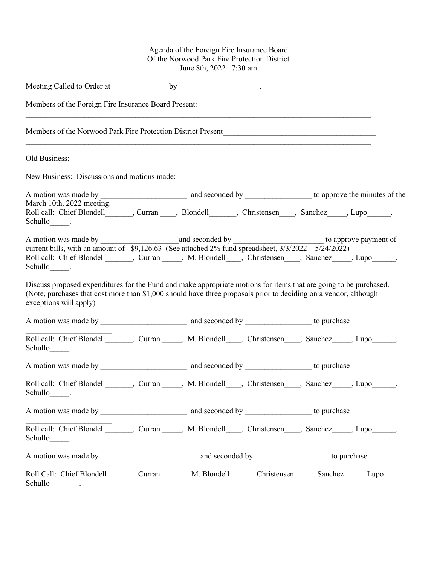## Agenda of the Foreign Fire Insurance Board Of the Norwood Park Fire Protection District June 8th, 2022 7:30 am

| Old Business:                                |                                                                                                                                                                                                                                       |  |
|----------------------------------------------|---------------------------------------------------------------------------------------------------------------------------------------------------------------------------------------------------------------------------------------|--|
| New Business: Discussions and motions made:  |                                                                                                                                                                                                                                       |  |
|                                              |                                                                                                                                                                                                                                       |  |
| March 10th, 2022 meeting.<br>Schullo_______. | Roll call: Chief Blondell________, Curran _____, Blondell________, Christensen____, Sanchez_____, Lupo_______.                                                                                                                        |  |
| Schullo_______.                              | current bills, with an amount of \$9,126.63 (See attached 2% fund spreadsheet, $3/3/2022 - 5/24/2022$ )<br>Roll call: Chief Blondell_______, Curran _____, M. Blondell____, Christensen ____, Sanchez_____, Lupo______.               |  |
| exceptions will apply)                       | Discuss proposed expenditures for the Fund and make appropriate motions for items that are going to be purchased.<br>(Note, purchases that cost more than \$1,000 should have three proposals prior to deciding on a vendor, although |  |
|                                              |                                                                                                                                                                                                                                       |  |
| Schullo_______.                              | Roll call: Chief Blondell_______, Curran _____, M. Blondell____, Christensen____, Sanchez_____, Lupo______.                                                                                                                           |  |
|                                              |                                                                                                                                                                                                                                       |  |
| Schullo<br><u>and</u> roman                  | Roll call: Chief Blondell_______, Curran _____, M. Blondell____, Christensen ____, Sanchez _____, Lupo _____.                                                                                                                         |  |
|                                              |                                                                                                                                                                                                                                       |  |
| Schullo_______.                              | Roll call: Chief Blondell_______, Curran _____, M. Blondell____, Christensen____, Sanchez_____, Lupo______.                                                                                                                           |  |
|                                              |                                                                                                                                                                                                                                       |  |
|                                              | Roll Call: Chief Blondell Curran Curran M. Blondell Christensen Christensen Sanchez Lupo                                                                                                                                              |  |